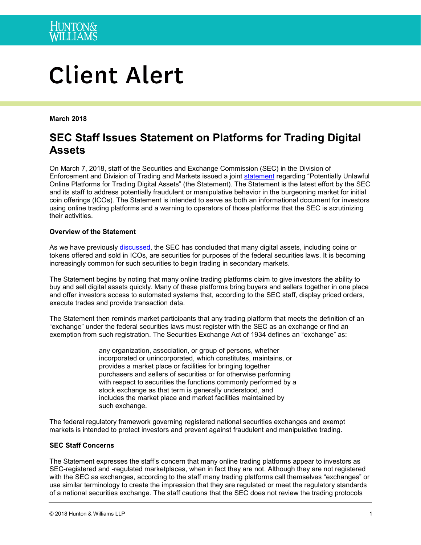

# **Client Alert**

**March 2018**

# **SEC Staff Issues Statement on Platforms for Trading Digital Assets**

On March 7, 2018, staff of the Securities and Exchange Commission (SEC) in the Division of Enforcement and Division of Trading and Markets issued a joint [statement](https://www.sec.gov/news/public-statement/enforcement-tm-statement-potentially-unlawful-online-platforms-trading) regarding "Potentially Unlawful Online Platforms for Trading Digital Assets" (the Statement). The Statement is the latest effort by the SEC and its staff to address potentially fraudulent or manipulative behavior in the burgeoning market for initial coin offerings (ICOs). The Statement is intended to serve as both an informational document for investors using online trading platforms and a warning to operators of those platforms that the SEC is scrutinizing their activities.

### **Overview of the Statement**

As we have previously [discussed,](https://www.hunton.com/images/content/3/5/v2/35147/securities-regulators-ico-market-and-digital-currency.pdf) the SEC has concluded that many digital assets, including coins or tokens offered and sold in ICOs, are securities for purposes of the federal securities laws. It is becoming increasingly common for such securities to begin trading in secondary markets.

The Statement begins by noting that many online trading platforms claim to give investors the ability to buy and sell digital assets quickly. Many of these platforms bring buyers and sellers together in one place and offer investors access to automated systems that, according to the SEC staff, display priced orders, execute trades and provide transaction data.

The Statement then reminds market participants that any trading platform that meets the definition of an "exchange" under the federal securities laws must register with the SEC as an exchange or find an exemption from such registration. The Securities Exchange Act of 1934 defines an "exchange" as:

> any organization, association, or group of persons, whether incorporated or unincorporated, which constitutes, maintains, or provides a market place or facilities for bringing together purchasers and sellers of securities or for otherwise performing with respect to securities the functions commonly performed by a stock exchange as that term is generally understood, and includes the market place and market facilities maintained by such exchange.

The federal regulatory framework governing registered national securities exchanges and exempt markets is intended to protect investors and prevent against fraudulent and manipulative trading.

#### **SEC Staff Concerns**

The Statement expresses the staff's concern that many online trading platforms appear to investors as SEC-registered and -regulated marketplaces, when in fact they are not. Although they are not registered with the SEC as exchanges, according to the staff many trading platforms call themselves "exchanges" or use similar terminology to create the impression that they are regulated or meet the regulatory standards of a national securities exchange. The staff cautions that the SEC does not review the trading protocols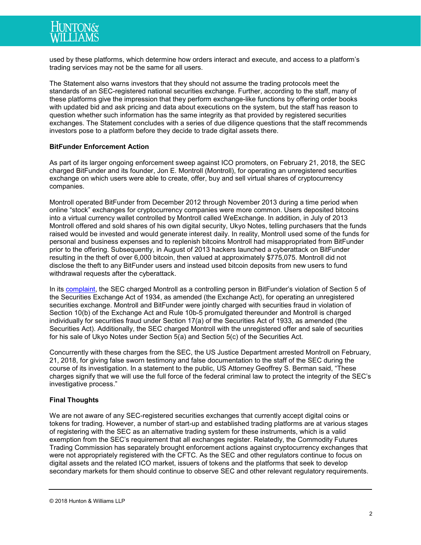

used by these platforms, which determine how orders interact and execute, and access to a platform's trading services may not be the same for all users.

The Statement also warns investors that they should not assume the trading protocols meet the standards of an SEC-registered national securities exchange. Further, according to the staff, many of these platforms give the impression that they perform exchange-like functions by offering order books with updated bid and ask pricing and data about executions on the system, but the staff has reason to question whether such information has the same integrity as that provided by registered securities exchanges. The Statement concludes with a series of due diligence questions that the staff recommends investors pose to a platform before they decide to trade digital assets there.

#### **BitFunder Enforcement Action**

As part of its larger ongoing enforcement sweep against ICO promoters, on February 21, 2018, the SEC charged BitFunder and its founder, Jon E. Montroll (Montroll), for operating an unregistered securities exchange on which users were able to create, offer, buy and sell virtual shares of cryptocurrency companies.

Montroll operated BitFunder from December 2012 through November 2013 during a time period when online "stock" exchanges for cryptocurrency companies were more common. Users deposited bitcoins into a virtual currency wallet controlled by Montroll called WeExchange. In addition, in July of 2013 Montroll offered and sold shares of his own digital security, Ukyo Notes, telling purchasers that the funds raised would be invested and would generate interest daily. In reality, Montroll used some of the funds for personal and business expenses and to replenish bitcoins Montroll had misappropriated from BitFunder prior to the offering. Subsequently, in August of 2013 hackers launched a cyberattack on BitFunder resulting in the theft of over 6,000 bitcoin, then valued at approximately \$775,075. Montroll did not disclose the theft to any BitFunder users and instead used bitcoin deposits from new users to fund withdrawal requests after the cyberattack.

In its [complaint,](https://www.sec.gov/litigation/complaints/2018/comp-pr2018-23.pdf) the SEC charged Montroll as a controlling person in BitFunder's violation of Section 5 of the Securities Exchange Act of 1934, as amended (the Exchange Act), for operating an unregistered securities exchange. Montroll and BitFunder were jointly charged with securities fraud in violation of Section 10(b) of the Exchange Act and Rule 10b-5 promulgated thereunder and Montroll is charged individually for securities fraud under Section 17(a) of the Securities Act of 1933, as amended (the Securities Act). Additionally, the SEC charged Montroll with the unregistered offer and sale of securities for his sale of Ukyo Notes under Section 5(a) and Section 5(c) of the Securities Act.

Concurrently with these charges from the SEC, the US Justice Department arrested Montroll on February, 21, 2018, for giving false sworn testimony and false documentation to the staff of the SEC during the course of its investigation. In a statement to the public, US Attorney Geoffrey S. Berman said, "These charges signify that we will use the full force of the federal criminal law to protect the integrity of the SEC's investigative process."

#### **Final Thoughts**

We are not aware of any SEC-registered securities exchanges that currently accept digital coins or tokens for trading. However, a number of start-up and established trading platforms are at various stages of registering with the SEC as an alternative trading system for these instruments, which is a valid exemption from the SEC's requirement that all exchanges register. Relatedly, the Commodity Futures Trading Commission has separately brought enforcement actions against cryptocurrency exchanges that were not appropriately registered with the CFTC. As the SEC and other regulators continue to focus on digital assets and the related ICO market, issuers of tokens and the platforms that seek to develop secondary markets for them should continue to observe SEC and other relevant regulatory requirements.